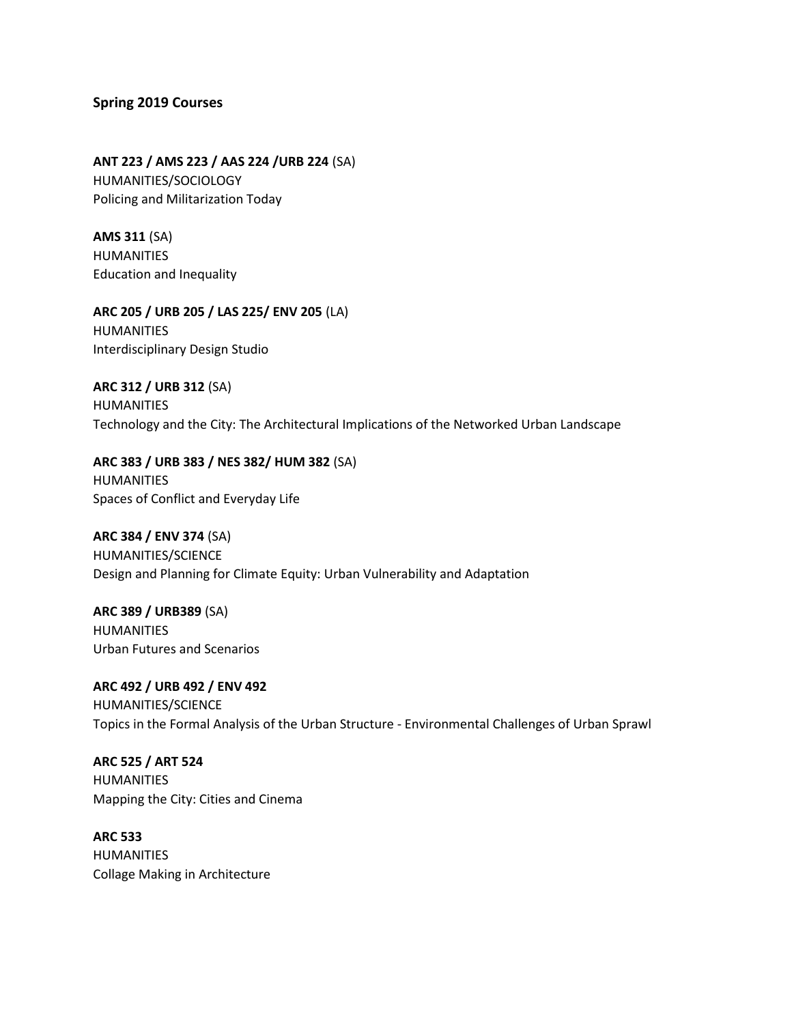## **Spring 2019 Courses**

**ANT 223 / AMS 223 / AAS 224 /URB 224** (SA) HUMANITIES/SOCIOLOGY Policing and Militarization Today

**AMS 311** (SA) HUMANITIES Education and Inequality

**ARC 205 / URB 205 / LAS 225/ ENV 205** (LA) HUMANITIES Interdisciplinary Design Studio

**ARC 312 / URB 312** (SA) HUMANITIES Technology and the City: The Architectural Implications of the Networked Urban Landscape

**ARC 383 / URB 383 / NES 382/ HUM 382** (SA) HUMANITIES Spaces of Conflict and Everyday Life

**ARC 384 / ENV 374** (SA) HUMANITIES/SCIENCE Design and Planning for Climate Equity: Urban Vulnerability and Adaptation

**ARC 389 / URB389** (SA) HUMANITIES Urban Futures and Scenarios

**ARC 492 / URB 492 / ENV 492** HUMANITIES/SCIENCE Topics in the Formal Analysis of the Urban Structure - Environmental Challenges of Urban Sprawl

**ARC 525 / ART 524** HUMANITIES Mapping the City: Cities and Cinema

**ARC 533** HUMANITIES Collage Making in Architecture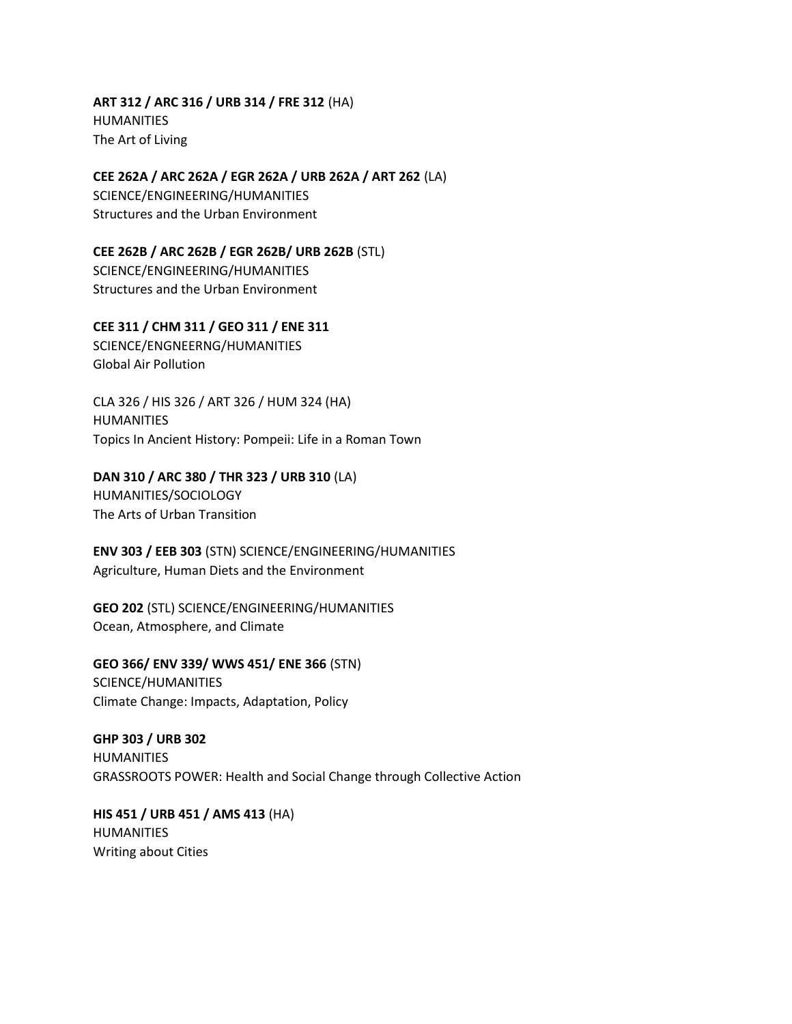**ART 312 / ARC 316 / URB 314 / FRE 312** (HA) HUMANITIES The Art of Living

**CEE 262A / ARC 262A / EGR 262A / URB 262A / ART 262** (LA) SCIENCE/ENGINEERING/HUMANITIES Structures and the Urban Environment

**CEE 262B / ARC 262B / EGR 262B/ URB 262B** (STL) SCIENCE/ENGINEERING/HUMANITIES Structures and the Urban Environment

**CEE 311 / CHM 311 / GEO 311 / ENE 311** SCIENCE/ENGNEERNG/HUMANITIES Global Air Pollution

CLA 326 / HIS 326 / ART 326 / HUM 324 (HA) HUMANITIES Topics In Ancient History: Pompeii: Life in a Roman Town

**DAN 310 / ARC 380 / THR 323 / URB 310** (LA)

HUMANITIES/SOCIOLOGY The Arts of Urban Transition

**ENV 303 / EEB 303** (STN) SCIENCE/ENGINEERING/HUMANITIES Agriculture, Human Diets and the Environment

**GEO 202** (STL) SCIENCE/ENGINEERING/HUMANITIES Ocean, Atmosphere, and Climate

**GEO 366/ ENV 339/ WWS 451/ ENE 366** (STN) SCIENCE/HUMANITIES Climate Change: Impacts, Adaptation, Policy

**GHP 303 / URB 302** HUMANITIES GRASSROOTS POWER: Health and Social Change through Collective Action

**HIS 451 / URB 451 / AMS 413** (HA) HUMANITIES Writing about Cities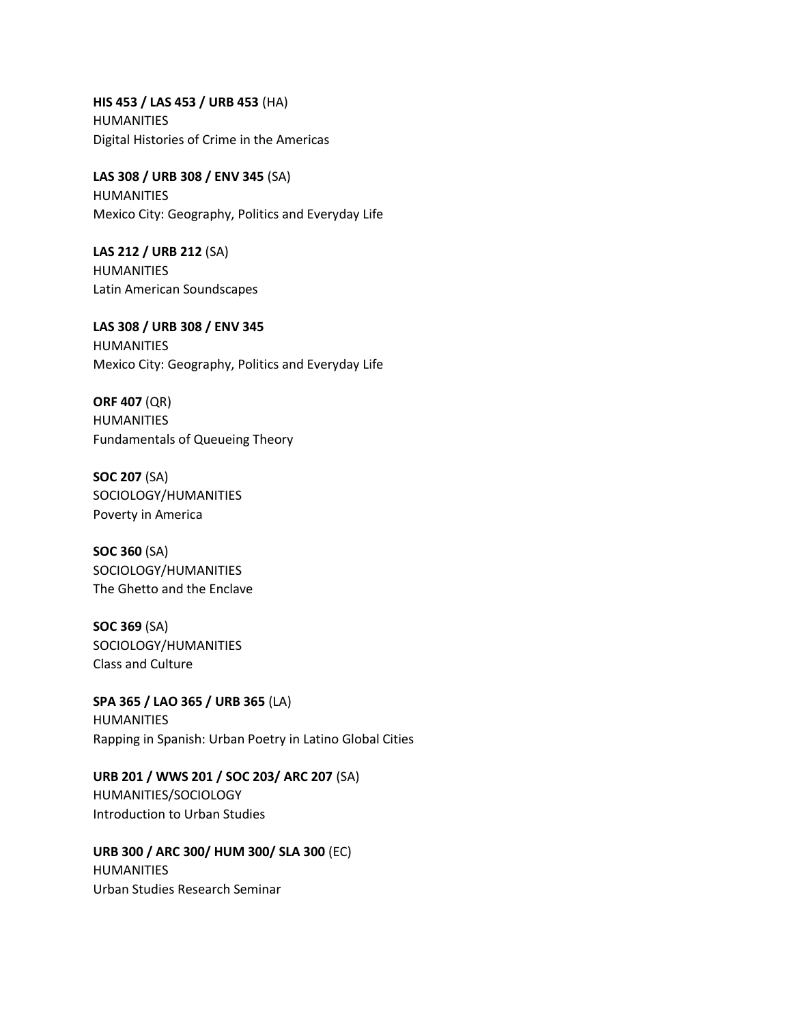**HIS 453 / LAS 453 / URB 453** (HA) HUMANITIES Digital Histories of Crime in the Americas

**LAS 308 / URB 308 / ENV 345** (SA) HUMANITIES Mexico City: Geography, Politics and Everyday Life

**LAS 212 / URB 212** (SA) HUMANITIES Latin American Soundscapes

**LAS 308 / URB 308 / ENV 345** HUMANITIES Mexico City: Geography, Politics and Everyday Life

**ORF 407** (QR) HUMANITIES Fundamentals of Queueing Theory

**SOC 207** (SA) SOCIOLOGY/HUMANITIES Poverty in America

**SOC 360** (SA) SOCIOLOGY/HUMANITIES The Ghetto and the Enclave

**SOC 369** (SA) SOCIOLOGY/HUMANITIES Class and Culture

**SPA 365 / LAO 365 / URB 365** (LA) HUMANITIES Rapping in Spanish: Urban Poetry in Latino Global Cities

**URB 201 / WWS 201 / SOC 203/ ARC 207** (SA) HUMANITIES/SOCIOLOGY Introduction to Urban Studies

**URB 300 / ARC 300/ HUM 300/ SLA 300** (EC) **HUMANITIES** Urban Studies Research Seminar